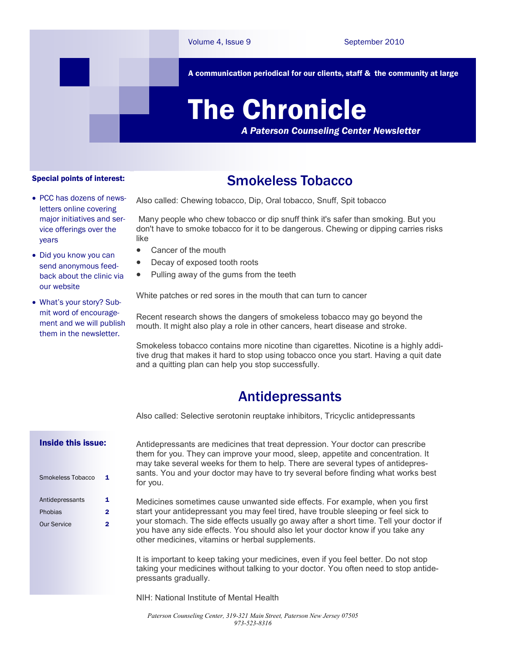

A communication periodical for our clients, staff & the community at large

# The Chronicle

*A Paterson Counseling Center Newsletter*

#### Special points of interest:

- PCC has dozens of newsletters online covering major initiatives and service offerings over the years
- Did you know you can send anonymous feedback about the clinic via our website
- What's your story? Submit word of encouragement and we will publish them in the newsletter.

## Smokeless Tobacco

Also called: Chewing tobacco, Dip, Oral tobacco, Snuff, Spit tobacco

Many people who chew tobacco or dip snuff think it's safer than smoking. But you don't have to smoke tobacco for it to be dangerous. Chewing or dipping carries risks like

- Cancer of the mouth
- Decay of exposed tooth roots
- Pulling away of the gums from the teeth

White patches or red sores in the mouth that can turn to cancer

Recent research shows the dangers of smokeless tobacco may go beyond the mouth. It might also play a role in other cancers, heart disease and stroke.

Smokeless tobacco contains more nicotine than cigarettes. Nicotine is a highly additive drug that makes it hard to stop using tobacco once you start. Having a quit date and a quitting plan can help you stop successfully.

## Antidepressants

Also called: Selective serotonin reuptake inhibitors, Tricyclic antidepressants

### Inside this issue:

| Smokeless Tobacco  | 1 |
|--------------------|---|
| Antidepressants    | 1 |
| Phobias            | 2 |
| <b>Our Service</b> | 2 |

Antidepressants are medicines that treat depression. Your doctor can prescribe them for you. They can improve your mood, sleep, appetite and concentration. It may take several weeks for them to help. There are several types of antidepressants. You and your doctor may have to try several before finding what works best for you.

Medicines sometimes cause unwanted side effects. For example, when you first start your antidepressant you may feel tired, have trouble sleeping or feel sick to your stomach. The side effects usually go away after a short time. Tell your doctor if you have any side effects. You should also let your doctor know if you take any other medicines, vitamins or herbal supplements.

It is important to keep taking your medicines, even if you feel better. Do not stop taking your medicines without talking to your doctor. You often need to stop antidepressants gradually.

NIH: National Institute of Mental Health